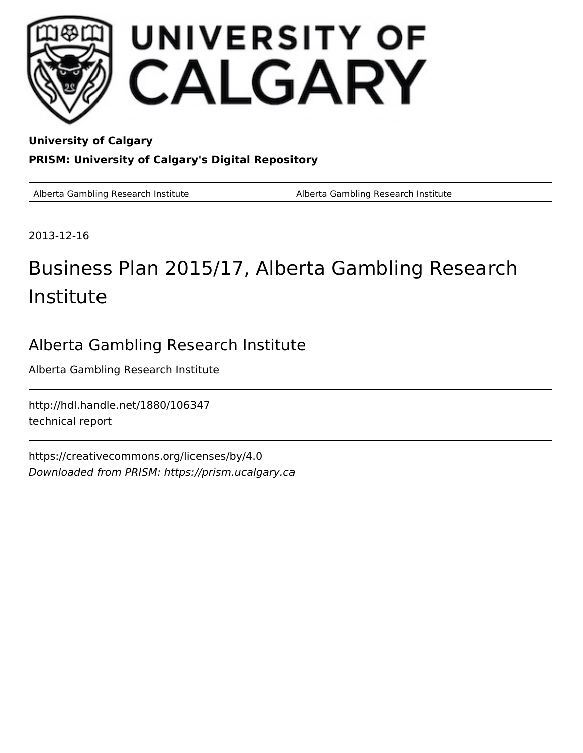

**University of Calgary PRISM: University of Calgary's Digital Repository**

Alberta Gambling Research Institute **Alberta Gambling Research Institute** Alberta Gambling Research Institute

2013-12-16

# Business Plan 2015/17, Alberta Gambling Research Institute

# Alberta Gambling Research Institute

Alberta Gambling Research Institute

http://hdl.handle.net/1880/106347 technical report

https://creativecommons.org/licenses/by/4.0 Downloaded from PRISM: https://prism.ucalgary.ca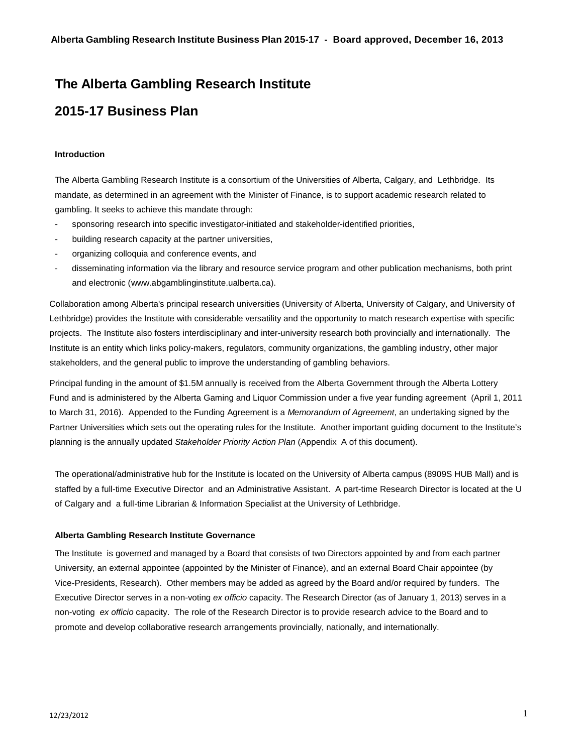### **The Alberta Gambling Research Institute**

## **2015-17 Business Plan**

#### **Introduction**

The Alberta Gambling Research Institute is a consortium of the Universities of Alberta, Calgary, and Lethbridge. Its mandate, as determined in an agreement with the Minister of Finance, is to support academic research related to gambling. It seeks to achieve this mandate through:

- sponsoring research into specific investigator-initiated and stakeholder-identified priorities,
- building research capacity at the partner universities,
- organizing colloquia and conference events, and
- disseminating information via the library and resource service program and other publication mechanisms, both print and electronic (www.abgamblinginstitute.ualberta.ca).

Collaboration among Alberta's principal research universities (University of Alberta, University of Calgary, and University of Lethbridge) provides the Institute with considerable versatility and the opportunity to match research expertise with specific projects. The Institute also fosters interdisciplinary and inter-university research both provincially and internationally. The Institute is an entity which links policy-makers, regulators, community organizations, the gambling industry, other major stakeholders, and the general public to improve the understanding of gambling behaviors.

Principal funding in the amount of \$1.5M annually is received from the Alberta Government through the Alberta Lottery Fund and is administered by the Alberta Gaming and Liquor Commission under a five year funding agreement (April 1, 2011 to March 31, 2016). Appended to the Funding Agreement is a *Memorandum of Agreement*, an undertaking signed by the Partner Universities which sets out the operating rules for the Institute. Another important guiding document to the Institute's planning is the annually updated *Stakeholder Priority Action Plan* (Appendix A of this document).

The operational/administrative hub for the Institute is located on the University of Alberta campus (8909S HUB Mall) and is staffed by a full-time Executive Director and an Administrative Assistant. A part-time Research Director is located at the U of Calgary and a full-time Librarian & Information Specialist at the University of Lethbridge.

#### **Alberta Gambling Research Institute Governance**

The Institute is governed and managed by a Board that consists of two Directors appointed by and from each partner University, an external appointee (appointed by the Minister of Finance), and an external Board Chair appointee (by Vice-Presidents, Research). Other members may be added as agreed by the Board and/or required by funders. The Executive Director serves in a non-voting *ex officio* capacity. The Research Director (as of January 1, 2013) serves in a non-voting *ex officio* capacity. The role of the Research Director is to provide research advice to the Board and to promote and develop collaborative research arrangements provincially, nationally, and internationally.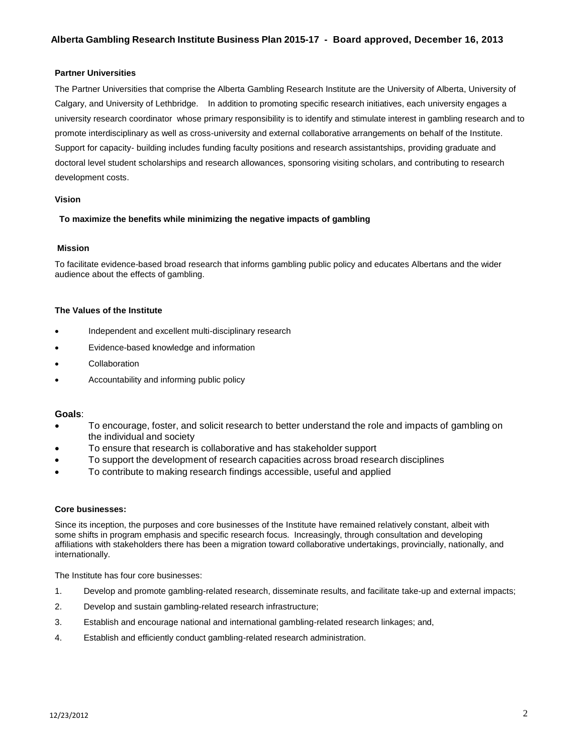#### **Partner Universities**

The Partner Universities that comprise the Alberta Gambling Research Institute are the University of Alberta, University of Calgary, and University of Lethbridge. In addition to promoting specific research initiatives, each university engages a university research coordinator whose primary responsibility is to identify and stimulate interest in gambling research and to promote interdisciplinary as well as cross-university and external collaborative arrangements on behalf of the Institute. Support for capacity- building includes funding faculty positions and research assistantships, providing graduate and doctoral level student scholarships and research allowances, sponsoring visiting scholars, and contributing to research development costs.

#### **Vision**

#### **To maximize the benefits while minimizing the negative impacts of gambling**

#### **Mission**

To facilitate evidence-based broad research that informs gambling public policy and educates Albertans and the wider audience about the effects of gambling.

#### **The Values of the Institute**

- Independent and excellent multi-disciplinary research
- Evidence-based knowledge and information
- **Collaboration**
- Accountability and informing public policy

#### **Goals**:

- To encourage, foster, and solicit research to better understand the role and impacts of gambling on the individual and society
- To ensure that research is collaborative and has stakeholder support
- To support the development of research capacities across broad research disciplines
- To contribute to making research findings accessible, useful and applied

#### **Core businesses:**

Since its inception, the purposes and core businesses of the Institute have remained relatively constant, albeit with some shifts in program emphasis and specific research focus. Increasingly, through consultation and developing affiliations with stakeholders there has been a migration toward collaborative undertakings, provincially, nationally, and internationally.

The Institute has four core businesses:

- 1. Develop and promote gambling-related research, disseminate results, and facilitate take-up and external impacts;
- 2. Develop and sustain gambling-related research infrastructure;
- 3. Establish and encourage national and international gambling-related research linkages; and,
- 4. Establish and efficiently conduct gambling-related research administration.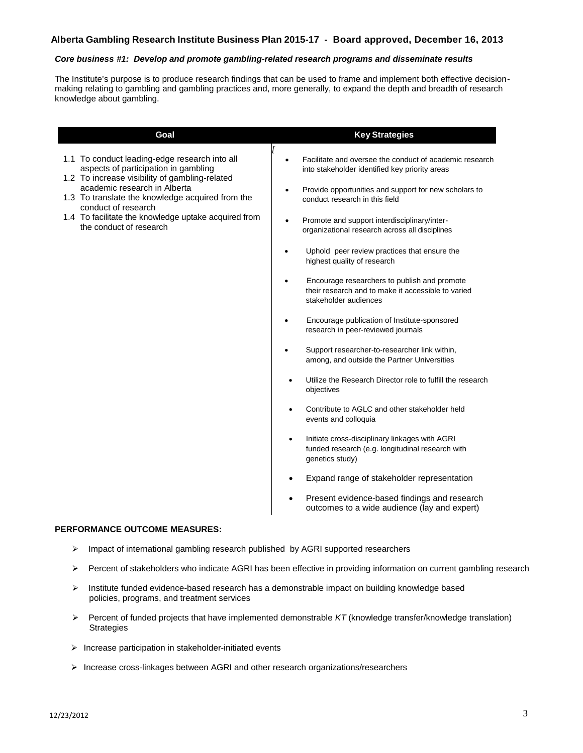#### *Core business #1: Develop and promote gambling-related research programs and disseminate results*

The Institute's purpose is to produce research findings that can be used to frame and implement both effective decisionmaking relating to gambling and gambling practices and, more generally, to expand the depth and breadth of research knowledge about gambling.

| Goal                                                                                                                                                                                                                                                                                                                                                                                                                                       | <b>Key Strategies</b>                                                                                                                                                                                                                                                                                                                                                                                                                                                                                                                                                                                                                                                                                                                                                                                                                                                                                                                                                                                                                                                                                                                  |
|--------------------------------------------------------------------------------------------------------------------------------------------------------------------------------------------------------------------------------------------------------------------------------------------------------------------------------------------------------------------------------------------------------------------------------------------|----------------------------------------------------------------------------------------------------------------------------------------------------------------------------------------------------------------------------------------------------------------------------------------------------------------------------------------------------------------------------------------------------------------------------------------------------------------------------------------------------------------------------------------------------------------------------------------------------------------------------------------------------------------------------------------------------------------------------------------------------------------------------------------------------------------------------------------------------------------------------------------------------------------------------------------------------------------------------------------------------------------------------------------------------------------------------------------------------------------------------------------|
| 1.1 To conduct leading-edge research into all<br>٠<br>aspects of participation in gambling<br>1.2 To increase visibility of gambling-related<br>academic research in Alberta<br>٠<br>1.3 To translate the knowledge acquired from the<br>conduct of research<br>1.4 To facilitate the knowledge uptake acquired from<br>$\bullet$<br>the conduct of research<br>$\bullet$<br>$\bullet$<br>$\bullet$<br>$\bullet$<br>$\bullet$<br>$\bullet$ | Facilitate and oversee the conduct of academic research<br>into stakeholder identified key priority areas<br>Provide opportunities and support for new scholars to<br>conduct research in this field<br>Promote and support interdisciplinary/inter-<br>organizational research across all disciplines<br>Uphold peer review practices that ensure the<br>highest quality of research<br>Encourage researchers to publish and promote<br>their research and to make it accessible to varied<br>stakeholder audiences<br>Encourage publication of Institute-sponsored<br>research in peer-reviewed journals<br>Support researcher-to-researcher link within,<br>among, and outside the Partner Universities<br>Utilize the Research Director role to fulfill the research<br>objectives<br>Contribute to AGLC and other stakeholder held<br>events and colloquia<br>Initiate cross-disciplinary linkages with AGRI<br>funded research (e.g. longitudinal research with<br>genetics study)<br>Expand range of stakeholder representation<br>Present evidence-based findings and research<br>outcomes to a wide audience (lay and expert) |

#### **PERFORMANCE OUTCOME MEASURES:**

- > Impact of international gambling research published by AGRI supported researchers
- ▶ Percent of stakeholders who indicate AGRI has been effective in providing information on current gambling research
- $\triangleright$  Institute funded evidence-based research has a demonstrable impact on building knowledge based policies, programs, and treatment services
- Percent of funded projects that have implemented demonstrable *KT* (knowledge transfer/knowledge translation) **Strategies**
- $\triangleright$  Increase participation in stakeholder-initiated events
- $\triangleright$  Increase cross-linkages between AGRI and other research organizations/researchers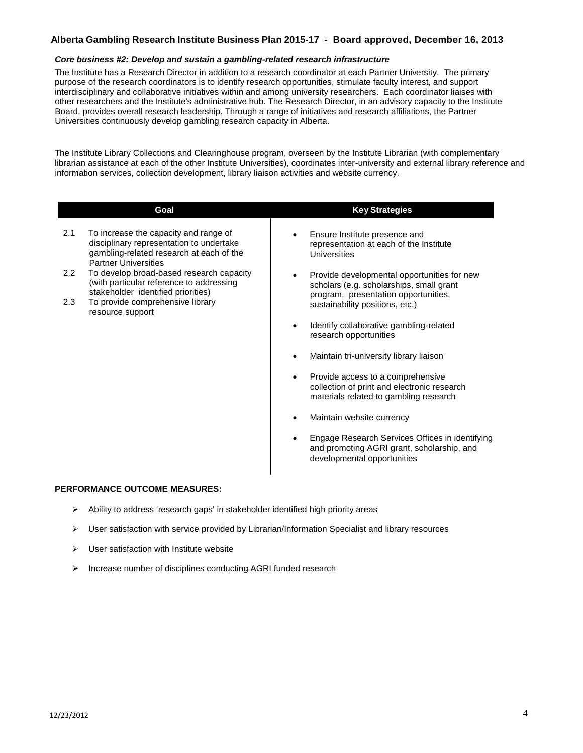#### *Core business #2: Develop and sustain a gambling-related research infrastructure*

The Institute has a Research Director in addition to a research coordinator at each Partner University. The primary purpose of the research coordinators is to identify research opportunities, stimulate faculty interest, and support interdisciplinary and collaborative initiatives within and among university researchers. Each coordinator liaises with other researchers and the Institute's administrative hub. The Research Director, in an advisory capacity to the Institute Board, provides overall research leadership. Through a range of initiatives and research affiliations, the Partner Universities continuously develop gambling research capacity in Alberta.

The Institute Library Collections and Clearinghouse program, overseen by the Institute Librarian (with complementary librarian assistance at each of the other Institute Universities), coordinates inter-university and external library reference and information services, collection development, library liaison activities and website currency.

|                   | Goal                                                                                                                                                                                                                                                                                                                                               | <b>Key Strategies</b>                                                                                                                                                                                                                                                                                                                                                                                                                                                                                                                                                                                                                                                     |
|-------------------|----------------------------------------------------------------------------------------------------------------------------------------------------------------------------------------------------------------------------------------------------------------------------------------------------------------------------------------------------|---------------------------------------------------------------------------------------------------------------------------------------------------------------------------------------------------------------------------------------------------------------------------------------------------------------------------------------------------------------------------------------------------------------------------------------------------------------------------------------------------------------------------------------------------------------------------------------------------------------------------------------------------------------------------|
| 2.1<br>2.2<br>2.3 | To increase the capacity and range of<br>disciplinary representation to undertake<br>gambling-related research at each of the<br><b>Partner Universities</b><br>To develop broad-based research capacity<br>(with particular reference to addressing<br>stakeholder identified priorities)<br>To provide comprehensive library<br>resource support | Ensure Institute presence and<br>$\bullet$<br>representation at each of the Institute<br>Universities<br>Provide developmental opportunities for new<br>scholars (e.g. scholarships, small grant<br>program, presentation opportunities,<br>sustainability positions, etc.)<br>Identify collaborative gambling-related<br>research opportunities<br>Maintain tri-university library liaison<br>Provide access to a comprehensive<br>$\bullet$<br>collection of print and electronic research<br>materials related to gambling research<br>Maintain website currency<br>Engage Research Services Offices in identifying<br>٠<br>and promoting AGRI grant, scholarship, and |
|                   |                                                                                                                                                                                                                                                                                                                                                    | developmental opportunities                                                                                                                                                                                                                                                                                                                                                                                                                                                                                                                                                                                                                                               |

#### **PERFORMANCE OUTCOME MEASURES:**

- $\triangleright$  Ability to address 'research gaps' in stakeholder identified high priority areas
- $\triangleright$  User satisfaction with service provided by Librarian/Information Specialist and library resources
- $\triangleright$  User satisfaction with Institute website
- $\triangleright$  Increase number of disciplines conducting AGRI funded research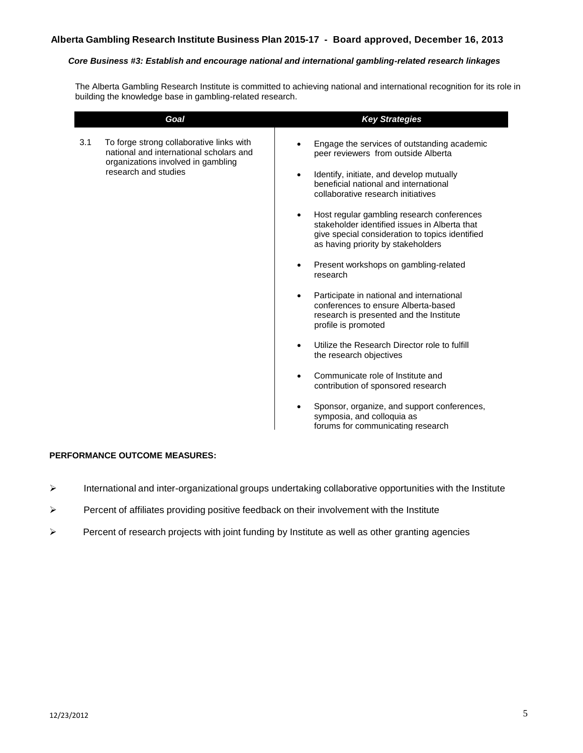#### *Core Business #3: Establish and encourage national and international gambling-related research linkages*

The Alberta Gambling Research Institute is committed to achieving national and international recognition for its role in building the knowledge base in gambling-related research.

|     | Goal                                                                                                                                              | <b>Key Strategies</b>                                                                                                                                                                                                                                                                                                                                                                                                                                                                                                                                                                                                                                                                                                                                                                                                                                                                                            |
|-----|---------------------------------------------------------------------------------------------------------------------------------------------------|------------------------------------------------------------------------------------------------------------------------------------------------------------------------------------------------------------------------------------------------------------------------------------------------------------------------------------------------------------------------------------------------------------------------------------------------------------------------------------------------------------------------------------------------------------------------------------------------------------------------------------------------------------------------------------------------------------------------------------------------------------------------------------------------------------------------------------------------------------------------------------------------------------------|
| 3.1 | To forge strong collaborative links with<br>national and international scholars and<br>organizations involved in gambling<br>research and studies | Engage the services of outstanding academic<br>peer reviewers from outside Alberta<br>Identify, initiate, and develop mutually<br>$\bullet$<br>beneficial national and international<br>collaborative research initiatives<br>Host regular gambling research conferences<br>٠<br>stakeholder identified issues in Alberta that<br>give special consideration to topics identified<br>as having priority by stakeholders<br>Present workshops on gambling-related<br>٠<br>research<br>Participate in national and international<br>conferences to ensure Alberta-based<br>research is presented and the Institute<br>profile is promoted<br>Utilize the Research Director role to fulfill<br>the research objectives<br>Communicate role of Institute and<br>contribution of sponsored research<br>Sponsor, organize, and support conferences,<br>symposia, and colloquia as<br>forums for communicating research |

#### **PERFORMANCE OUTCOME MEASURES:**

- International and inter-organizational groups undertaking collaborative opportunities with the Institute
- $\triangleright$  Percent of affiliates providing positive feedback on their involvement with the Institute
- $\triangleright$  Percent of research projects with joint funding by Institute as well as other granting agencies